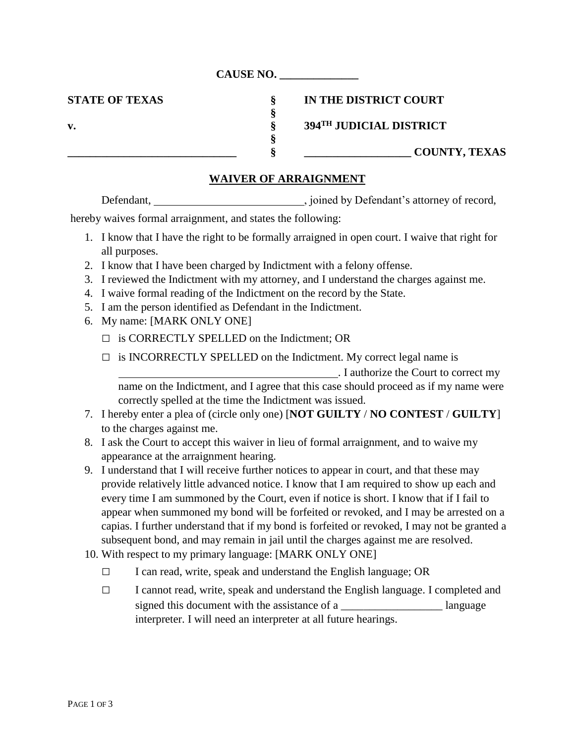**CAUSE NO. \_\_\_\_\_\_\_\_\_\_\_\_\_\_**

**STATE OF TEXAS § IN THE DISTRICT COURT**

**v. § 394TH JUDICIAL DISTRICT**

**\_\_\_\_\_\_\_\_\_\_\_\_\_\_\_\_\_\_\_\_\_\_\_\_\_\_\_\_\_\_ § \_\_\_\_\_\_\_\_\_\_\_\_\_\_\_\_\_\_\_ COUNTY, TEXAS**

## **WAIVER OF ARRAIGNMENT**

**§**

**§**

Defendant, \_\_\_\_\_\_\_\_\_\_\_\_\_\_\_\_\_\_\_\_\_\_\_\_\_\_\_\_\_\_\_\_\_\_, joined by Defendant's attorney of record,

hereby waives formal arraignment, and states the following:

- 1. I know that I have the right to be formally arraigned in open court. I waive that right for all purposes.
- 2. I know that I have been charged by Indictment with a felony offense.
- 3. I reviewed the Indictment with my attorney, and I understand the charges against me.
- 4. I waive formal reading of the Indictment on the record by the State.
- 5. I am the person identified as Defendant in the Indictment.
- 6. My name: [MARK ONLY ONE]
	- $\Box$  is CORRECTLY SPELLED on the Indictment; OR
	- $\Box$  is INCORRECTLY SPELLED on the Indictment. My correct legal name is

. I authorize the Court to correct my name on the Indictment, and I agree that this case should proceed as if my name were correctly spelled at the time the Indictment was issued.

- 7. I hereby enter a plea of (circle only one) [**NOT GUILTY** / **NO CONTEST** / **GUILTY**] to the charges against me.
- 8. I ask the Court to accept this waiver in lieu of formal arraignment, and to waive my appearance at the arraignment hearing.
- 9. I understand that I will receive further notices to appear in court, and that these may provide relatively little advanced notice. I know that I am required to show up each and every time I am summoned by the Court, even if notice is short. I know that if I fail to appear when summoned my bond will be forfeited or revoked, and I may be arrested on a capias. I further understand that if my bond is forfeited or revoked, I may not be granted a subsequent bond, and may remain in jail until the charges against me are resolved.
- 10. With respect to my primary language: [MARK ONLY ONE]
	- $\Box$  I can read, write, speak and understand the English language; OR
	- □ I cannot read, write, speak and understand the English language. I completed and signed this document with the assistance of a \_\_\_\_\_\_\_\_\_\_\_\_\_\_\_\_\_\_\_\_\_\_ language interpreter. I will need an interpreter at all future hearings.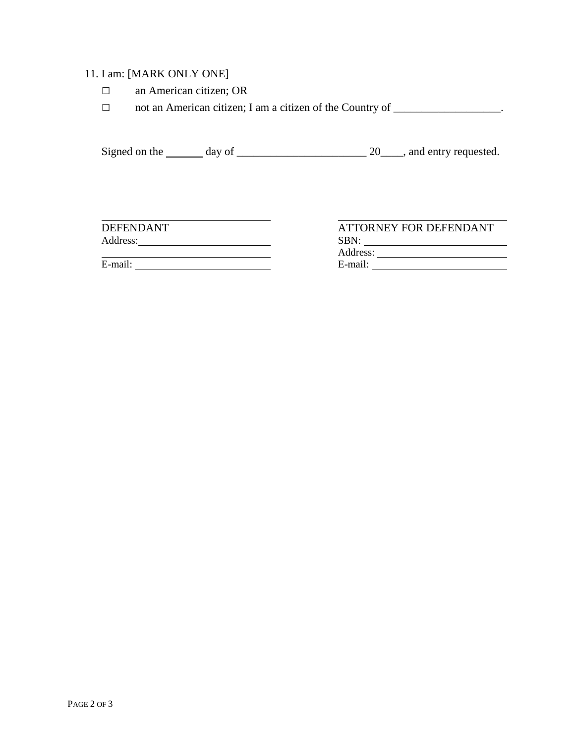## 11. I am: [MARK ONLY ONE]

- □ an American citizen; OR
- □ not an American citizen; I am a citizen of the Country of \_\_\_\_\_\_\_\_\_\_\_\_\_\_\_\_\_\_\_.

Signed on the  $\_\_\_\_$  day of  $\_\_\_\_\_\_\_\_$  20 $\_\_\_\$ , and entry requested.

E-mail: E-mail:

**DEFENDANT ATTORNEY FOR DEFENDANT** Address: SBN: SBN: Address: No. 1998